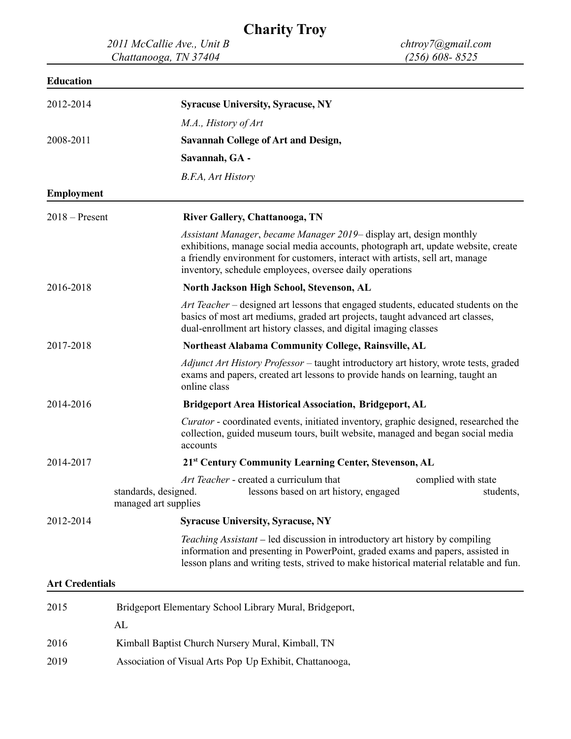## **Charity Troy**

*2011 McCallie Ave., Unit B chtroy7@gmail.com Chattanooga, TN 37404 (256) 608- 8525*

## **Education**

| 2012-2014              | <b>Syracuse University, Syracuse, NY</b>                                                                                                                                                                                                                                                             |  |
|------------------------|------------------------------------------------------------------------------------------------------------------------------------------------------------------------------------------------------------------------------------------------------------------------------------------------------|--|
|                        | M.A., History of Art                                                                                                                                                                                                                                                                                 |  |
| 2008-2011              | <b>Savannah College of Art and Design,</b>                                                                                                                                                                                                                                                           |  |
|                        | Savannah, GA -                                                                                                                                                                                                                                                                                       |  |
|                        | B.F.A, Art History                                                                                                                                                                                                                                                                                   |  |
| <b>Employment</b>      |                                                                                                                                                                                                                                                                                                      |  |
| $2018 -$ Present       | River Gallery, Chattanooga, TN                                                                                                                                                                                                                                                                       |  |
|                        | Assistant Manager, became Manager 2019– display art, design monthly<br>exhibitions, manage social media accounts, photograph art, update website, create<br>a friendly environment for customers, interact with artists, sell art, manage<br>inventory, schedule employees, oversee daily operations |  |
| 2016-2018              | North Jackson High School, Stevenson, AL                                                                                                                                                                                                                                                             |  |
|                        | Art Teacher – designed art lessons that engaged students, educated students on the<br>basics of most art mediums, graded art projects, taught advanced art classes,<br>dual-enrollment art history classes, and digital imaging classes                                                              |  |
| 2017-2018              | <b>Northeast Alabama Community College, Rainsville, AL</b>                                                                                                                                                                                                                                           |  |
|                        | Adjunct Art History Professor – taught introductory art history, wrote tests, graded<br>exams and papers, created art lessons to provide hands on learning, taught an<br>online class                                                                                                                |  |
| 2014-2016              | <b>Bridgeport Area Historical Association, Bridgeport, AL</b>                                                                                                                                                                                                                                        |  |
|                        | <i>Curator</i> - coordinated events, initiated inventory, graphic designed, researched the<br>collection, guided museum tours, built website, managed and began social media<br>accounts                                                                                                             |  |
| 2014-2017              | 21 <sup>st</sup> Century Community Learning Center, Stevenson, AL                                                                                                                                                                                                                                    |  |
|                        | Art Teacher - created a curriculum that<br>complied with state<br>lessons based on art history, engaged<br>standards, designed.<br>students,<br>managed art supplies                                                                                                                                 |  |
| 2012-2014              | <b>Syracuse University, Syracuse, NY</b>                                                                                                                                                                                                                                                             |  |
|                        | <i>Teaching Assistant</i> – led discussion in introductory art history by compiling<br>information and presenting in PowerPoint, graded exams and papers, assisted in<br>lesson plans and writing tests, strived to make historical material relatable and fun.                                      |  |
| <b>Art Credentials</b> |                                                                                                                                                                                                                                                                                                      |  |
| 2015                   | Bridgeport Elementary School Library Mural, Bridgeport,                                                                                                                                                                                                                                              |  |
|                        | AL                                                                                                                                                                                                                                                                                                   |  |
| 2016                   | Kimball Baptist Church Nursery Mural, Kimball, TN                                                                                                                                                                                                                                                    |  |
| 2019                   | Association of Visual Arts Pop Up Exhibit, Chattanooga,                                                                                                                                                                                                                                              |  |